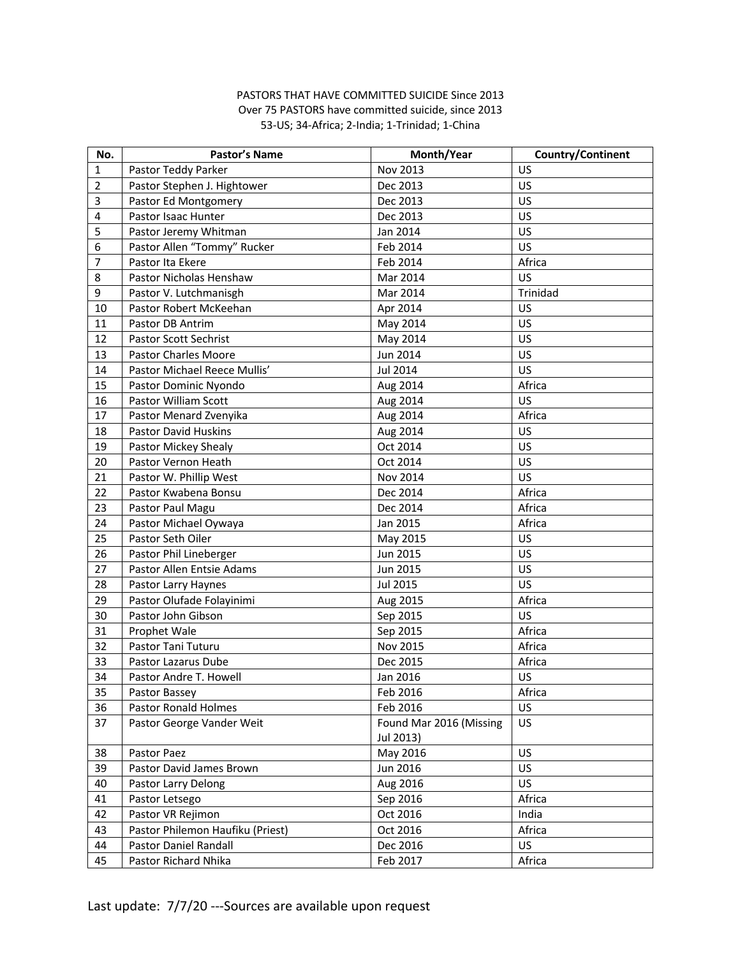## PASTORS THAT HAVE COMMITTED SUICIDE Since 2013 Over 75 PASTORS have committed suicide, since 2013 53-US; 34-Africa; 2-India; 1-Trinidad; 1-China

| No.                     | <b>Pastor's Name</b>             | Month/Year              | Country/Continent |
|-------------------------|----------------------------------|-------------------------|-------------------|
| 1                       | Pastor Teddy Parker              | Nov 2013                | US                |
| $\overline{2}$          | Pastor Stephen J. Hightower      | Dec 2013                | US                |
| 3                       | Pastor Ed Montgomery             | Dec 2013                | US                |
| $\overline{\mathbf{4}}$ | Pastor Isaac Hunter              | Dec 2013                | US                |
| 5                       | Pastor Jeremy Whitman            | Jan 2014                | US                |
| 6                       | Pastor Allen "Tommy" Rucker      | Feb 2014                | US                |
| $\overline{7}$          | Pastor Ita Ekere                 | Feb 2014                | Africa            |
| 8                       | Pastor Nicholas Henshaw          | Mar 2014                | US                |
| 9                       | Pastor V. Lutchmanisgh           | Mar 2014                | Trinidad          |
| 10                      | Pastor Robert McKeehan           | Apr 2014                | US                |
| 11                      | Pastor DB Antrim                 | May 2014                | US                |
| 12                      | Pastor Scott Sechrist            | May 2014                | US                |
| 13                      | <b>Pastor Charles Moore</b>      | Jun 2014                | US                |
| 14                      | Pastor Michael Reece Mullis'     | Jul 2014                | US                |
| 15                      | Pastor Dominic Nyondo            | Aug 2014                | Africa            |
| 16                      | Pastor William Scott             | Aug 2014                | US                |
| 17                      | Pastor Menard Zvenyika           | Aug 2014                | Africa            |
| 18                      | <b>Pastor David Huskins</b>      | Aug 2014                | US                |
| 19                      | Pastor Mickey Shealy             | Oct 2014                | US                |
| 20                      | Pastor Vernon Heath              | Oct 2014                | US                |
| 21                      | Pastor W. Phillip West           | Nov 2014                | US                |
| 22                      | Pastor Kwabena Bonsu             | Dec 2014                | Africa            |
| 23                      | Pastor Paul Magu                 | Dec 2014                | Africa            |
| 24                      | Pastor Michael Oywaya            | Jan 2015                | Africa            |
| 25                      | Pastor Seth Oiler                | May 2015                | US                |
| 26                      | Pastor Phil Lineberger           | Jun 2015                | US                |
| 27                      | Pastor Allen Entsie Adams        | Jun 2015                | US                |
| 28                      | Pastor Larry Haynes              | Jul 2015                | US                |
| 29                      | Pastor Olufade Folayinimi        | Aug 2015                | Africa            |
| 30                      | Pastor John Gibson               | Sep 2015                | US                |
| 31                      | Prophet Wale                     | Sep 2015                | Africa            |
| 32                      | Pastor Tani Tuturu               | Nov 2015                | Africa            |
| 33                      | Pastor Lazarus Dube              | Dec 2015                | Africa            |
| 34                      | Pastor Andre T. Howell           | Jan 2016                | US                |
| 35                      | Pastor Bassey                    | Feb 2016                | Africa            |
| 36                      | Pastor Ronald Holmes             | Feb 2016                | US                |
| 37                      | Pastor George Vander Weit        | Found Mar 2016 (Missing | US                |
|                         |                                  | Jul 2013)               |                   |
| 38                      | Pastor Paez                      | May 2016                | US                |
| 39                      | Pastor David James Brown         | Jun 2016                | US                |
| 40                      | Pastor Larry Delong              | Aug 2016                | US                |
| 41                      | Pastor Letsego                   | Sep 2016                | Africa            |
| 42                      | Pastor VR Rejimon                | Oct 2016                | India             |
| 43                      | Pastor Philemon Haufiku (Priest) | Oct 2016                | Africa            |
| 44                      | Pastor Daniel Randall            | Dec 2016                | US                |
| 45                      | Pastor Richard Nhika             | Feb 2017                | Africa            |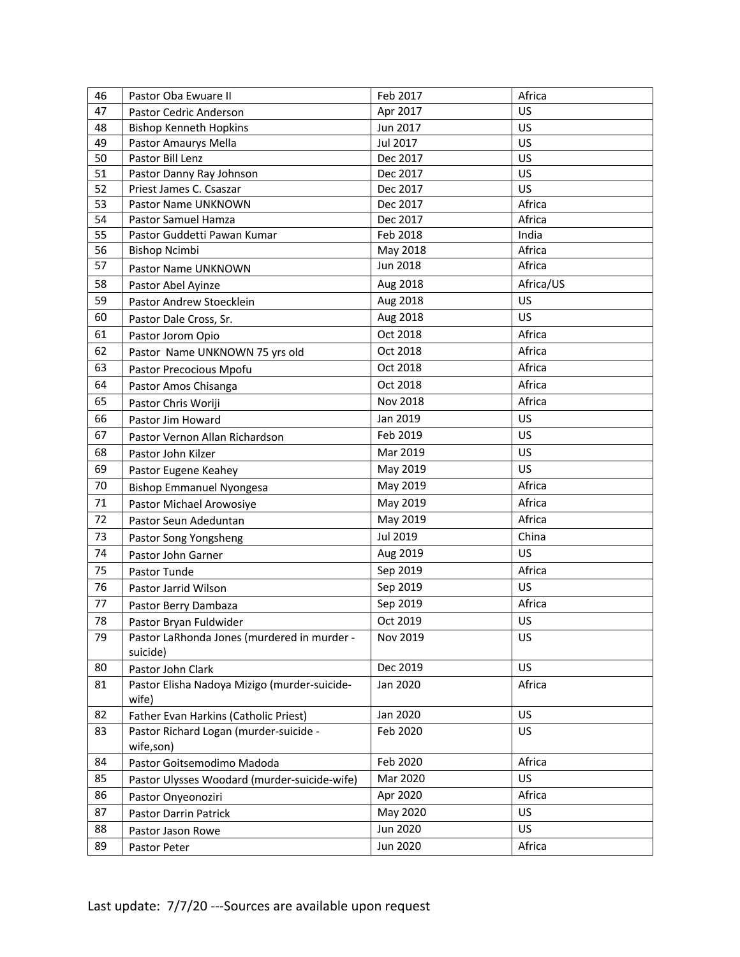| 46 | Pastor Oba Ewuare II                         | Feb 2017        | Africa    |
|----|----------------------------------------------|-----------------|-----------|
| 47 | Pastor Cedric Anderson                       | Apr 2017        | US        |
| 48 | <b>Bishop Kenneth Hopkins</b>                | Jun 2017        | US        |
| 49 | Pastor Amaurys Mella                         | Jul 2017        | US        |
| 50 | Pastor Bill Lenz                             | Dec 2017        | US        |
| 51 | Pastor Danny Ray Johnson                     | Dec 2017        | US        |
| 52 | Priest James C. Csaszar                      | Dec 2017        | US        |
| 53 | Pastor Name UNKNOWN                          | Dec 2017        | Africa    |
| 54 | Pastor Samuel Hamza                          | Dec 2017        | Africa    |
| 55 | Pastor Guddetti Pawan Kumar                  | Feb 2018        | India     |
| 56 | <b>Bishop Ncimbi</b>                         | May 2018        | Africa    |
| 57 | Pastor Name UNKNOWN                          | <b>Jun 2018</b> | Africa    |
| 58 | Pastor Abel Ayinze                           | Aug 2018        | Africa/US |
| 59 | Pastor Andrew Stoecklein                     | Aug 2018        | US        |
| 60 | Pastor Dale Cross, Sr.                       | Aug 2018        | US        |
| 61 | Pastor Jorom Opio                            | Oct 2018        | Africa    |
| 62 | Pastor Name UNKNOWN 75 yrs old               | Oct 2018        | Africa    |
| 63 | Pastor Precocious Mpofu                      | Oct 2018        | Africa    |
| 64 | Pastor Amos Chisanga                         | Oct 2018        | Africa    |
| 65 | Pastor Chris Woriji                          | Nov 2018        | Africa    |
| 66 | Pastor Jim Howard                            | Jan 2019        | US        |
| 67 | Pastor Vernon Allan Richardson               | Feb 2019        | US        |
| 68 | Pastor John Kilzer                           | Mar 2019        | US        |
| 69 | Pastor Eugene Keahey                         | May 2019        | US        |
| 70 | <b>Bishop Emmanuel Nyongesa</b>              | May 2019        | Africa    |
| 71 | Pastor Michael Arowosiye                     | May 2019        | Africa    |
| 72 | Pastor Seun Adeduntan                        | May 2019        | Africa    |
| 73 | Pastor Song Yongsheng                        | Jul 2019        | China     |
| 74 | Pastor John Garner                           | Aug 2019        | US        |
| 75 | Pastor Tunde                                 | Sep 2019        | Africa    |
| 76 | Pastor Jarrid Wilson                         | Sep 2019        | US        |
| 77 | Pastor Berry Dambaza                         | Sep 2019        | Africa    |
| 78 | Pastor Bryan Fuldwider                       | Oct 2019        | US        |
| 79 | Pastor LaRhonda Jones (murdered in murder -  | Nov 2019        | US        |
|    | suicide)                                     |                 |           |
| 80 | Pastor John Clark                            | Dec 2019        | US        |
| 81 | Pastor Elisha Nadoya Mizigo (murder-suicide- | Jan 2020        | Africa    |
|    | wife)                                        |                 |           |
| 82 | Father Evan Harkins (Catholic Priest)        | Jan 2020        | US        |
| 83 | Pastor Richard Logan (murder-suicide -       | Feb 2020        | US        |
|    | wife,son)                                    |                 |           |
| 84 | Pastor Goitsemodimo Madoda                   | Feb 2020        | Africa    |
| 85 | Pastor Ulysses Woodard (murder-suicide-wife) | Mar 2020        | US        |
| 86 | Pastor Onyeonoziri                           | Apr 2020        | Africa    |
| 87 | Pastor Darrin Patrick                        | May 2020        | US        |
| 88 | Pastor Jason Rowe                            | Jun 2020        | US        |
| 89 | Pastor Peter                                 | <b>Jun 2020</b> | Africa    |